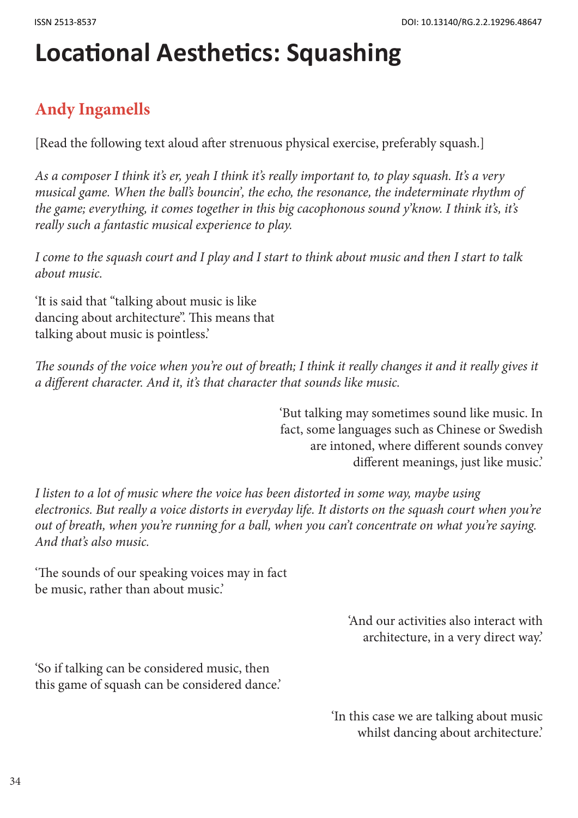## **Locational Aesthetics: Squashing**

## **Andy Ingamells**

[Read the following text aloud after strenuous physical exercise, preferably squash.]

*As a composer I think it's er, yeah I think it's really important to, to play squash. It's a very musical game. When the ball's bouncin', the echo, the resonance, the indeterminate rhythm of the game; everything, it comes together in this big cacophonous sound y'know. I think it's, it's really such a fantastic musical experience to play.* 

*I come to the squash court and I play and I start to think about music and then I start to talk about music.*

'It is said that "talking about music is like dancing about architecture". This means that talking about music is pointless.'

The sounds of the voice when you're out of breath; I think it really changes it and it really gives it *a different character. And it, it's that character that sounds like music.*

> 'But talking may sometimes sound like music. In fact, some languages such as Chinese or Swedish are intoned, where different sounds convey different meanings, just like music.'

*I listen to a lot of music where the voice has been distorted in some way, maybe using electronics. But really a voice distorts in everyday life. It distorts on the squash court when you're out of breath, when you're running for a ball, when you can't concentrate on what you're saying. And that's also music.* 

'The sounds of our speaking voices may in fact be music, rather than about music.'

> 'And our activities also interact with architecture, in a very direct way.'

'So if talking can be considered music, then this game of squash can be considered dance.'

> 'In this case we are talking about music whilst dancing about architecture.'